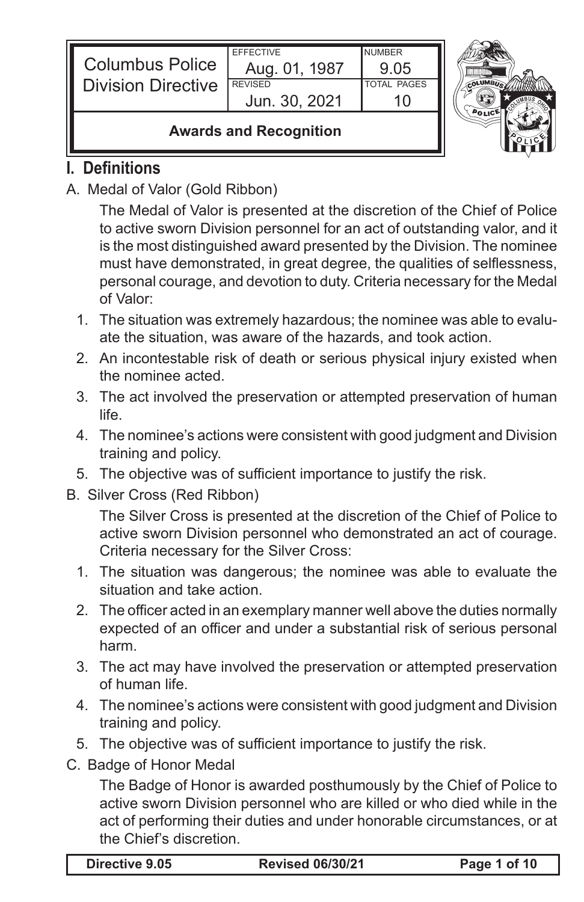| <b>Columbus Police</b>             | <b>EFFECTIVE</b><br>Aug. 01, 1987 | <b>NUMBER</b><br>905 |  |
|------------------------------------|-----------------------------------|----------------------|--|
| <b>Division Directive</b>          | <b>REVISED</b>                    | <b>TOTAL PAGES</b>   |  |
|                                    | Jun. 30, 2021                     |                      |  |
| Associated and Barrier and Minimum |                                   |                      |  |

### **Awards and Recognition**

## **I. Definitions**

A. Medal of Valor (Gold Ribbon)

The Medal of Valor is presented at the discretion of the Chief of Police to active sworn Division personnel for an act of outstanding valor, and it is the most distinguished award presented by the Division. The nominee must have demonstrated, in great degree, the qualities of selflessness, personal courage, and devotion to duty. Criteria necessary for the Medal of Valor:

- 1. The situation was extremely hazardous; the nominee was able to evaluate the situation, was aware of the hazards, and took action.
- 2. An incontestable risk of death or serious physical injury existed when the nominee acted.
- 3. The act involved the preservation or attempted preservation of human life.
- 4. The nominee's actions were consistent with good judgment and Division training and policy.
- 5. The objective was of sufficient importance to justify the risk.
- B. Silver Cross (Red Ribbon)

The Silver Cross is presented at the discretion of the Chief of Police to active sworn Division personnel who demonstrated an act of courage. Criteria necessary for the Silver Cross:

- 1. The situation was dangerous; the nominee was able to evaluate the situation and take action.
- 2. The officer acted in an exemplary manner well above the duties normally expected of an officer and under a substantial risk of serious personal harm.
- 3. The act may have involved the preservation or attempted preservation of human life.
- 4. The nominee's actions were consistent with good judgment and Division training and policy.
- 5. The objective was of sufficient importance to justify the risk.
- C. Badge of Honor Medal

The Badge of Honor is awarded posthumously by the Chief of Police to active sworn Division personnel who are killed or who died while in the act of performing their duties and under honorable circumstances, or at the Chief's discretion.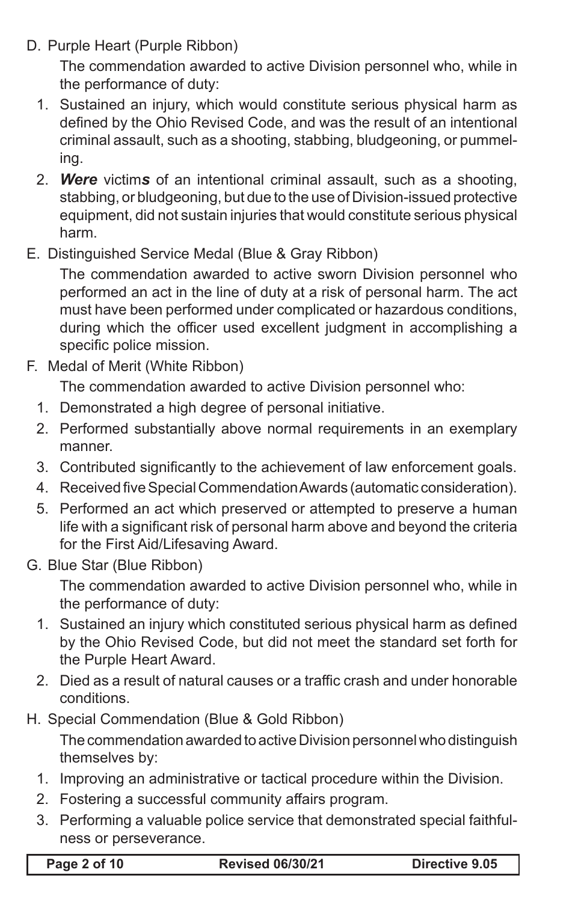D. Purple Heart (Purple Ribbon)

The commendation awarded to active Division personnel who, while in the performance of duty:

- 1. Sustained an injury, which would constitute serious physical harm as defined by the Ohio Revised Code, and was the result of an intentional criminal assault, such as a shooting, stabbing, bludgeoning, or pummeling.
- 2. *Were* victim*s* of an intentional criminal assault, such as a shooting, stabbing, or bludgeoning, but due to the use of Division-issued protective equipment, did not sustain injuries that would constitute serious physical harm.
- E. Distinguished Service Medal (Blue & Gray Ribbon)

The commendation awarded to active sworn Division personnel who performed an act in the line of duty at a risk of personal harm. The act must have been performed under complicated or hazardous conditions, during which the officer used excellent judgment in accomplishing a specific police mission.

F. Medal of Merit (White Ribbon)

The commendation awarded to active Division personnel who:

- 1. Demonstrated a high degree of personal initiative.
- 2. Performed substantially above normal requirements in an exemplary manner.
- 3. Contributed significantly to the achievement of law enforcement goals.
- 4. Received five Special Commendation Awards (automatic consideration).
- 5. Performed an act which preserved or attempted to preserve a human life with a significant risk of personal harm above and beyond the criteria for the First Aid/Lifesaving Award.
- G. Blue Star (Blue Ribbon)

The commendation awarded to active Division personnel who, while in the performance of duty:

- 1. Sustained an injury which constituted serious physical harm as defined by the Ohio Revised Code, but did not meet the standard set forth for the Purple Heart Award.
- 2. Died as a result of natural causes or a traffic crash and under honorable conditions.
- H. Special Commendation (Blue & Gold Ribbon)

The commendation awarded to active Division personnel who distinguish themselves by:

- 1. Improving an administrative or tactical procedure within the Division.
- 2. Fostering a successful community affairs program.
- 3. Performing a valuable police service that demonstrated special faithfulness or perseverance.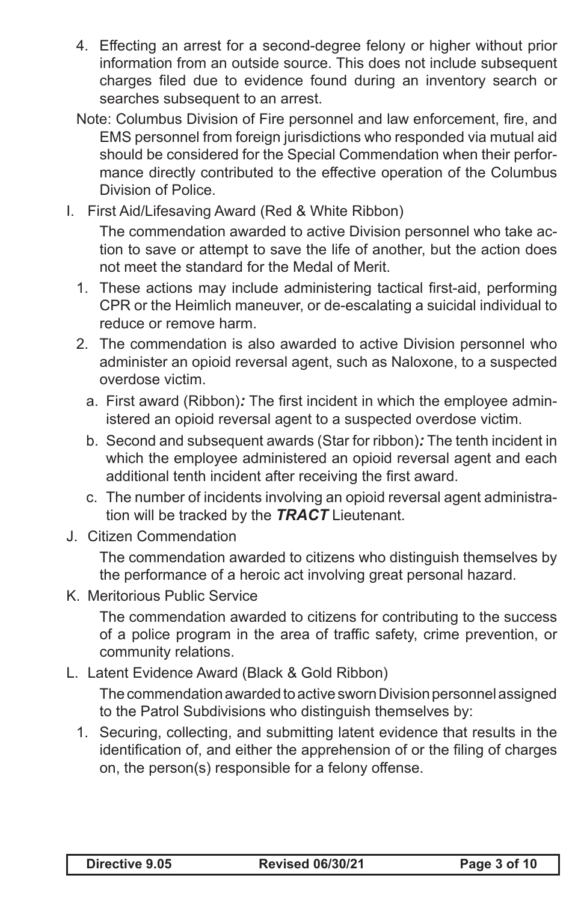- 4. Effecting an arrest for a second-degree felony or higher without prior information from an outside source. This does not include subsequent charges filed due to evidence found during an inventory search or searches subsequent to an arrest.
- Note: Columbus Division of Fire personnel and law enforcement, fire, and EMS personnel from foreign jurisdictions who responded via mutual aid should be considered for the Special Commendation when their performance directly contributed to the effective operation of the Columbus Division of Police.
- I. First Aid/Lifesaving Award (Red & White Ribbon)

The commendation awarded to active Division personnel who take action to save or attempt to save the life of another, but the action does not meet the standard for the Medal of Merit.

- 1. These actions may include administering tactical first-aid, performing CPR or the Heimlich maneuver, or de-escalating a suicidal individual to reduce or remove harm.
- 2. The commendation is also awarded to active Division personnel who administer an opioid reversal agent, such as Naloxone, to a suspected overdose victim.
	- a. First award (Ribbon)*:* The first incident in which the employee administered an opioid reversal agent to a suspected overdose victim.
	- b. Second and subsequent awards (Star for ribbon)*:* The tenth incident in which the employee administered an opioid reversal agent and each additional tenth incident after receiving the first award.
	- c. The number of incidents involving an opioid reversal agent administration will be tracked by the *TRACT* Lieutenant.
- J. Citizen Commendation

The commendation awarded to citizens who distinguish themselves by the performance of a heroic act involving great personal hazard.

K. Meritorious Public Service

The commendation awarded to citizens for contributing to the success of a police program in the area of traffic safety, crime prevention, or community relations.

L. Latent Evidence Award (Black & Gold Ribbon)

The commendation awarded to active sworn Division personnel assigned to the Patrol Subdivisions who distinguish themselves by:

1. Securing, collecting, and submitting latent evidence that results in the identification of, and either the apprehension of or the filing of charges on, the person(s) responsible for a felony offense.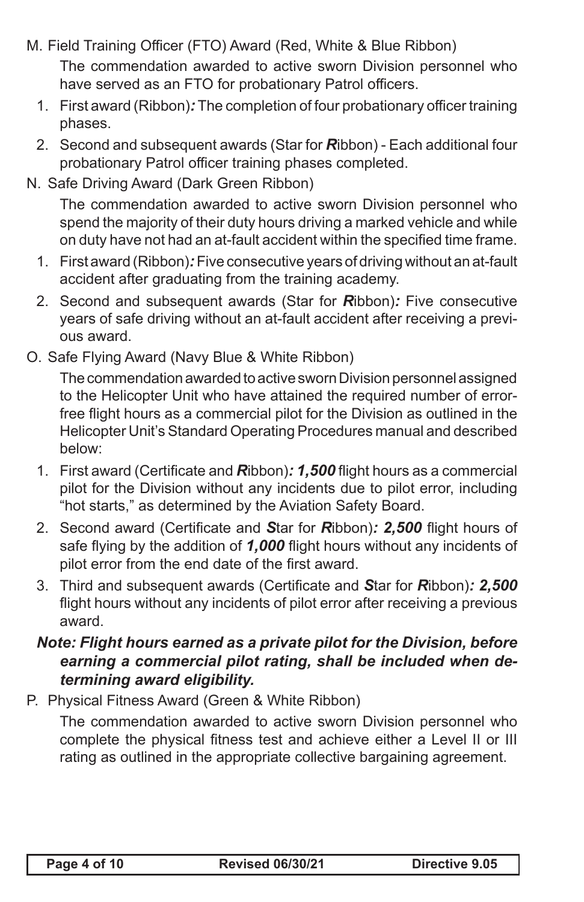M. Field Training Officer (FTO) Award (Red, White & Blue Ribbon)

The commendation awarded to active sworn Division personnel who have served as an FTO for probationary Patrol officers.

- 1. First award (Ribbon)*:* The completion of four probationary officer training phases.
- 2. Second and subsequent awards (Star for *R*ibbon) Each additional four probationary Patrol officer training phases completed.
- N. Safe Driving Award (Dark Green Ribbon)

The commendation awarded to active sworn Division personnel who spend the majority of their duty hours driving a marked vehicle and while on duty have not had an at-fault accident within the specified time frame.

- 1. First award (Ribbon)*:* Five consecutive years of driving without an at-fault accident after graduating from the training academy.
- 2. Second and subsequent awards (Star for *R*ibbon)*:* Five consecutive years of safe driving without an at-fault accident after receiving a previous award.
- O. Safe Flying Award (Navy Blue & White Ribbon)

The commendation awarded to active sworn Division personnel assigned to the Helicopter Unit who have attained the required number of errorfree flight hours as a commercial pilot for the Division as outlined in the Helicopter Unit's Standard Operating Procedures manual and described below:

- 1. First award (Certificate and *R*ibbon)*: 1,500* flight hours as a commercial pilot for the Division without any incidents due to pilot error, including "hot starts," as determined by the Aviation Safety Board.
- 2. Second award (Certificate and *S*tar for *R*ibbon)*: 2,500* flight hours of safe flying by the addition of *1,000* flight hours without any incidents of pilot error from the end date of the first award.
- 3. Third and subsequent awards (Certificate and *S*tar for *R*ibbon)*: 2,500*  flight hours without any incidents of pilot error after receiving a previous award.

## *Note: Flight hours earned as a private pilot for the Division, before earning a commercial pilot rating, shall be included when determining award eligibility.*

P. Physical Fitness Award (Green & White Ribbon)

The commendation awarded to active sworn Division personnel who complete the physical fitness test and achieve either a Level II or III rating as outlined in the appropriate collective bargaining agreement.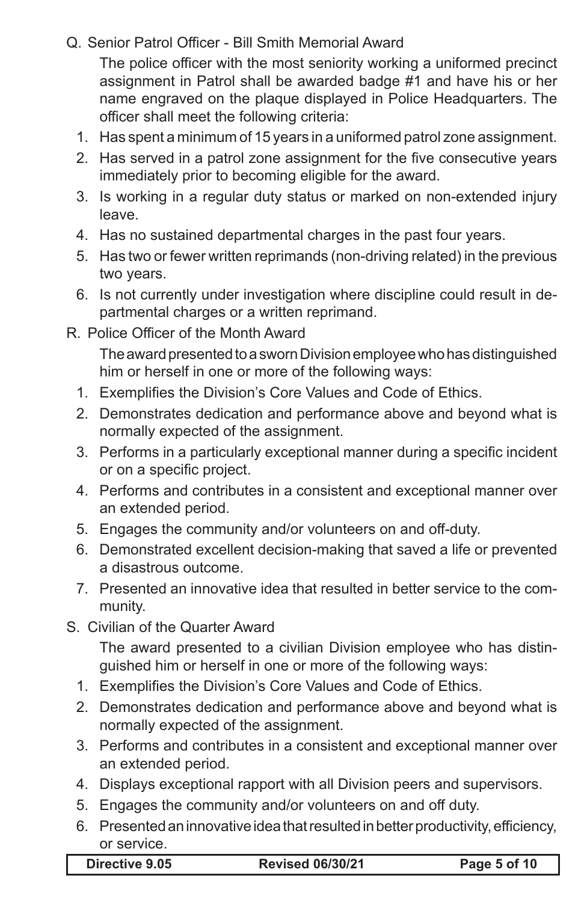### Q. Senior Patrol Officer - Bill Smith Memorial Award

The police officer with the most seniority working a uniformed precinct assignment in Patrol shall be awarded badge #1 and have his or her name engraved on the plaque displayed in Police Headquarters. The officer shall meet the following criteria:

- 1. Has spent a minimum of 15 years in a uniformed patrol zone assignment.
- 2. Has served in a patrol zone assignment for the five consecutive years immediately prior to becoming eligible for the award.
- 3. Is working in a regular duty status or marked on non-extended injury leave.
- 4. Has no sustained departmental charges in the past four years.
- 5. Has two or fewer written reprimands (non-driving related) in the previous two years.
- 6. Is not currently under investigation where discipline could result in departmental charges or a written reprimand.
- R. Police Officer of the Month Award

The award presented to a sworn Division employee who has distinguished him or herself in one or more of the following ways:

- 1. Exemplifies the Division's Core Values and Code of Ethics.
- 2. Demonstrates dedication and performance above and beyond what is normally expected of the assignment.
- 3. Performs in a particularly exceptional manner during a specific incident or on a specific project.
- 4. Performs and contributes in a consistent and exceptional manner over an extended period.
- 5. Engages the community and/or volunteers on and off-duty.
- 6. Demonstrated excellent decision-making that saved a life or prevented a disastrous outcome.
- 7. Presented an innovative idea that resulted in better service to the community.
- S. Civilian of the Quarter Award

The award presented to a civilian Division employee who has distinguished him or herself in one or more of the following ways:

- 1. Exemplifies the Division's Core Values and Code of Ethics.
- 2. Demonstrates dedication and performance above and beyond what is normally expected of the assignment.
- 3. Performs and contributes in a consistent and exceptional manner over an extended period.
- 4. Displays exceptional rapport with all Division peers and supervisors.
- 5. Engages the community and/or volunteers on and off duty.
- 6. Presented an innovative idea that resulted in better productivity, efficiency, or service.

| Directive 9.05 |  |
|----------------|--|
|----------------|--|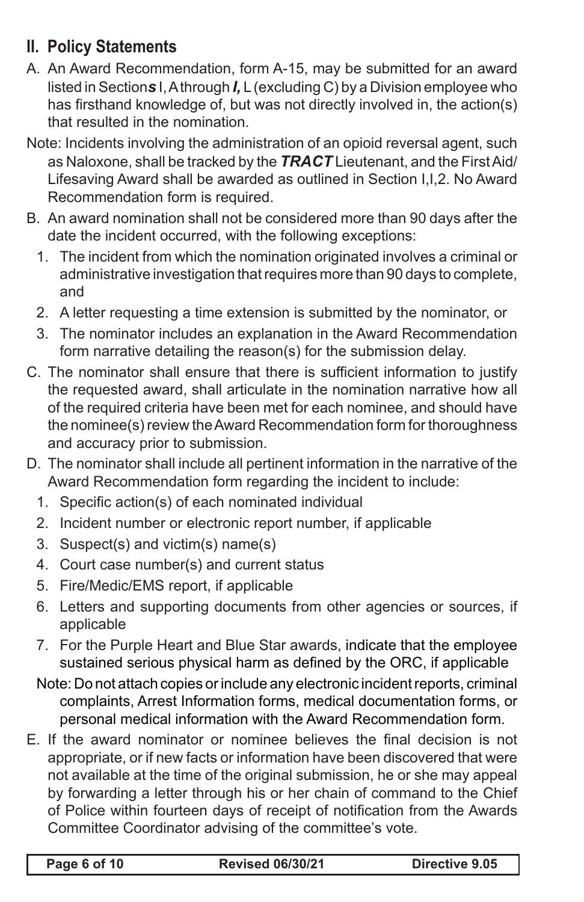# **II. Policy Statements**

- A. An Award Recommendation, form A-15, may be submitted for an award listed in Section*s* I, A through *I,* L (excluding C) by a Division employee who has firsthand knowledge of, but was not directly involved in, the action(s) that resulted in the nomination.
- Note: Incidents involving the administration of an opioid reversal agent, such as Naloxone, shall be tracked by the *TRACT* Lieutenant, and the First Aid/ Lifesaving Award shall be awarded as outlined in Section I,I,2. No Award Recommendation form is required.
- B. An award nomination shall not be considered more than 90 days after the date the incident occurred, with the following exceptions:
	- 1. The incident from which the nomination originated involves a criminal or administrative investigation that requires more than 90 days to complete, and
	- 2. A letter requesting a time extension is submitted by the nominator, or
	- 3. The nominator includes an explanation in the Award Recommendation form narrative detailing the reason(s) for the submission delay.
- C. The nominator shall ensure that there is sufficient information to justify the requested award, shall articulate in the nomination narrative how all of the required criteria have been met for each nominee, and should have the nominee(s) review the Award Recommendation form for thoroughness and accuracy prior to submission.
- D. The nominator shall include all pertinent information in the narrative of the Award Recommendation form regarding the incident to include:
	- 1. Specific action(s) of each nominated individual
	- 2. Incident number or electronic report number, if applicable
	- 3. Suspect(s) and victim(s) name(s)
	- 4. Court case number(s) and current status
	- 5. Fire/Medic/EMS report, if applicable
	- 6. Letters and supporting documents from other agencies or sources, if applicable
	- 7. For the Purple Heart and Blue Star awards, indicate that the employee sustained serious physical harm as defined by the ORC, if applicable
	- Note: Do not attach copies or include any electronic incident reports, criminal complaints, Arrest Information forms, medical documentation forms, or personal medical information with the Award Recommendation form.
- E. If the award nominator or nominee believes the final decision is not appropriate, or if new facts or information have been discovered that were not available at the time of the original submission, he or she may appeal by forwarding a letter through his or her chain of command to the Chief of Police within fourteen days of receipt of notification from the Awards Committee Coordinator advising of the committee's vote.

| Page 6 of 10 |  |  |
|--------------|--|--|
|--------------|--|--|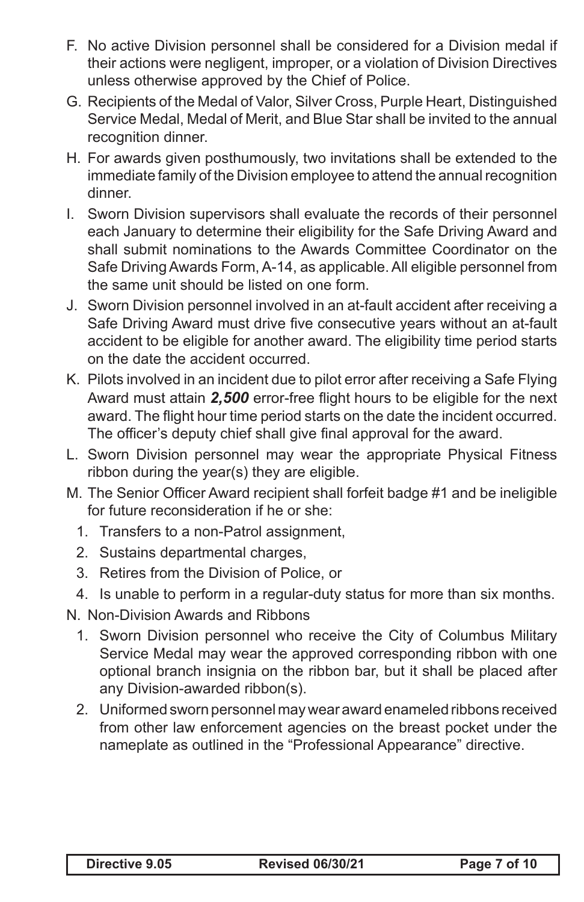- F. No active Division personnel shall be considered for a Division medal if their actions were negligent, improper, or a violation of Division Directives unless otherwise approved by the Chief of Police.
- G. Recipients of the Medal of Valor, Silver Cross, Purple Heart, Distinguished Service Medal, Medal of Merit, and Blue Star shall be invited to the annual recognition dinner.
- H. For awards given posthumously, two invitations shall be extended to the immediate family of the Division employee to attend the annual recognition dinner.
- I. Sworn Division supervisors shall evaluate the records of their personnel each January to determine their eligibility for the Safe Driving Award and shall submit nominations to the Awards Committee Coordinator on the Safe Driving Awards Form, A-14, as applicable. All eligible personnel from the same unit should be listed on one form.
- J. Sworn Division personnel involved in an at-fault accident after receiving a Safe Driving Award must drive five consecutive years without an at-fault accident to be eligible for another award. The eligibility time period starts on the date the accident occurred.
- K. Pilots involved in an incident due to pilot error after receiving a Safe Flying Award must attain *2,500* error-free flight hours to be eligible for the next award. The flight hour time period starts on the date the incident occurred. The officer's deputy chief shall give final approval for the award.
- L. Sworn Division personnel may wear the appropriate Physical Fitness ribbon during the year(s) they are eligible.
- M. The Senior Officer Award recipient shall forfeit badge #1 and be ineligible for future reconsideration if he or she:
	- 1. Transfers to a non-Patrol assignment,
	- 2. Sustains departmental charges,
	- 3. Retires from the Division of Police, or
	- 4. Is unable to perform in a regular-duty status for more than six months.
- N. Non-Division Awards and Ribbons
	- 1. Sworn Division personnel who receive the City of Columbus Military Service Medal may wear the approved corresponding ribbon with one optional branch insignia on the ribbon bar, but it shall be placed after any Division-awarded ribbon(s).
	- 2. Uniformed sworn personnel may wear award enameled ribbons received from other law enforcement agencies on the breast pocket under the nameplate as outlined in the "Professional Appearance" directive.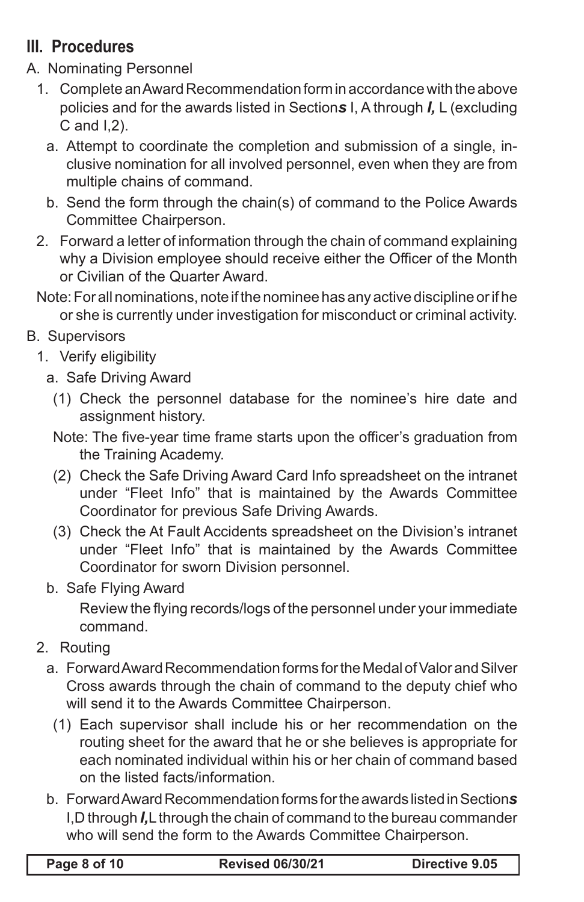# **III. Procedures**

- A. Nominating Personnel
	- 1. Complete an Award Recommendation form in accordance with the above policies and for the awards listed in Section*s* I, A through *I,* L (excluding C and I,2).
		- a. Attempt to coordinate the completion and submission of a single, inclusive nomination for all involved personnel, even when they are from multiple chains of command.
		- b. Send the form through the chain(s) of command to the Police Awards Committee Chairperson.
	- 2. Forward a letter of information through the chain of command explaining why a Division employee should receive either the Officer of the Month or Civilian of the Quarter Award.
	- Note: For all nominations, note if the nominee has any active discipline or if he or she is currently under investigation for misconduct or criminal activity.
- B. Supervisors
	- 1. Verify eligibility
		- a. Safe Driving Award
			- (1) Check the personnel database for the nominee's hire date and assignment history.
			- Note: The five-year time frame starts upon the officer's graduation from the Training Academy.
		- (2) Check the Safe Driving Award Card Info spreadsheet on the intranet under "Fleet Info" that is maintained by the Awards Committee Coordinator for previous Safe Driving Awards.
		- (3) Check the At Fault Accidents spreadsheet on the Division's intranet under "Fleet Info" that is maintained by the Awards Committee Coordinator for sworn Division personnel.
		- b. Safe Flying Award

Review the flying records/logs of the personnel under your immediate command.

- 2. Routing
	- a. Forward Award Recommendation forms for the Medal of Valor and Silver Cross awards through the chain of command to the deputy chief who will send it to the Awards Committee Chairperson.
		- (1) Each supervisor shall include his or her recommendation on the routing sheet for the award that he or she believes is appropriate for each nominated individual within his or her chain of command based on the listed facts/information.
	- b. Forward Award Recommendation forms for the awards listed in Section*s* I,D through *I,*L through the chain of command to the bureau commander who will send the form to the Awards Committee Chairperson.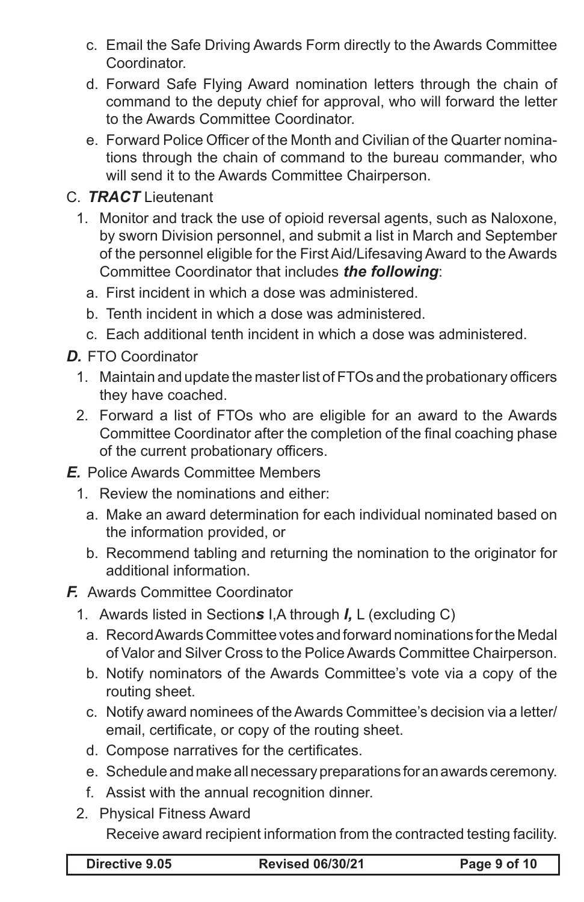- c. Email the Safe Driving Awards Form directly to the Awards Committee Coordinator.
- d. Forward Safe Flying Award nomination letters through the chain of command to the deputy chief for approval, who will forward the letter to the Awards Committee Coordinator.
- e. Forward Police Officer of the Month and Civilian of the Quarter nominations through the chain of command to the bureau commander, who will send it to the Awards Committee Chairperson.

## C. *TRACT* Lieutenant

- 1. Monitor and track the use of opioid reversal agents, such as Naloxone, by sworn Division personnel, and submit a list in March and September of the personnel eligible for the First Aid/Lifesaving Award to the Awards Committee Coordinator that includes *the following*:
	- a. First incident in which a dose was administered.
	- b. Tenth incident in which a dose was administered.
	- c. Each additional tenth incident in which a dose was administered.
- *D.* FTO Coordinator
	- 1. Maintain and update the master list of FTOs and the probationary officers they have coached.
	- 2. Forward a list of FTOs who are eligible for an award to the Awards Committee Coordinator after the completion of the final coaching phase of the current probationary officers.

#### *E.* Police Awards Committee Members

- 1. Review the nominations and either:
	- a. Make an award determination for each individual nominated based on the information provided, or
	- b. Recommend tabling and returning the nomination to the originator for additional information.
- *F.* Awards Committee Coordinator
	- 1. Awards listed in Section*s* I,A through *I,* L (excluding C)
		- a. Record Awards Committee votes and forward nominations for the Medal of Valor and Silver Cross to the Police Awards Committee Chairperson.
		- b. Notify nominators of the Awards Committee's vote via a copy of the routing sheet.
		- c. Notify award nominees of the Awards Committee's decision via a letter/ email, certificate, or copy of the routing sheet.
		- d. Compose narratives for the certificates.
		- e. Schedule and make all necessary preparations for an awards ceremony.
		- f. Assist with the annual recognition dinner.
	- 2. Physical Fitness Award

Receive award recipient information from the contracted testing facility.